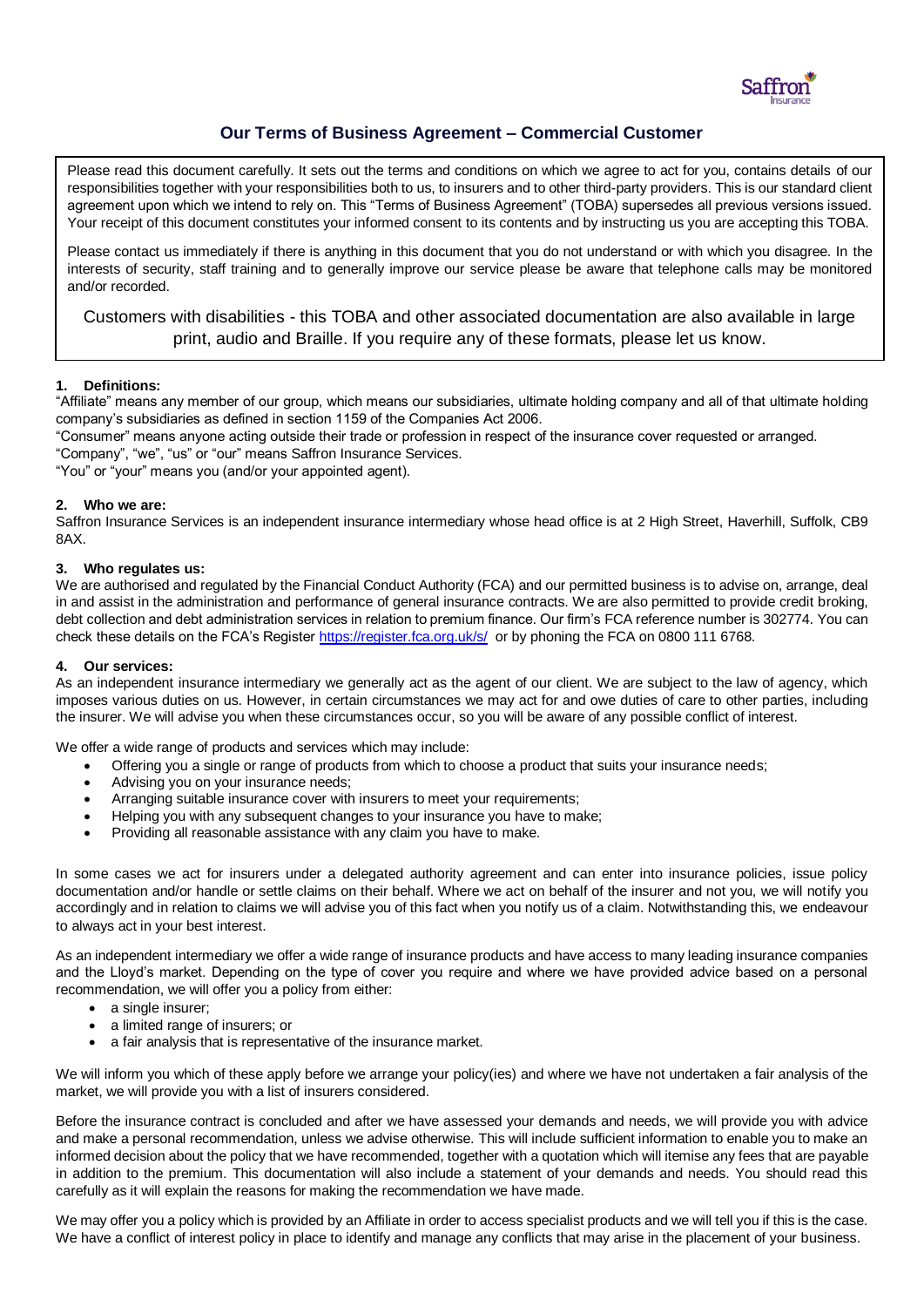

# **Our Terms of Business Agreement – Commercial Customer**

Please read this document carefully. It sets out the terms and conditions on which we agree to act for you, contains details of our responsibilities together with your responsibilities both to us, to insurers and to other third-party providers. This is our standard client agreement upon which we intend to rely on. This "Terms of Business Agreement" (TOBA) supersedes all previous versions issued. Your receipt of this document constitutes your informed consent to its contents and by instructing us you are accepting this TOBA.

Please contact us immediately if there is anything in this document that you do not understand or with which you disagree. In the interests of security, staff training and to generally improve our service please be aware that telephone calls may be monitored and/or recorded.

Customers with disabilities - this TOBA and other associated documentation are also available in large print, audio and Braille. If you require any of these formats, please let us know.

# **1. Definitions:**

"Affiliate" means any member of our group, which means our subsidiaries, ultimate holding company and all of that ultimate holding company's subsidiaries as defined in section 1159 of the Companies Act 2006.

"Consumer" means anyone acting outside their trade or profession in respect of the insurance cover requested or arranged.

"Company", "we", "us" or "our" means Saffron Insurance Services.

"You" or "your" means you (and/or your appointed agent).

# **2. Who we are:**

Saffron Insurance Services is an independent insurance intermediary whose head office is at 2 High Street, Haverhill, Suffolk, CB9 8AX.

# **3. Who regulates us:**

We are authorised and regulated by the Financial Conduct Authority (FCA) and our permitted business is to advise on, arrange, deal in and assist in the administration and performance of general insurance contracts. We are also permitted to provide credit broking, debt collection and debt administration services in relation to premium finance. Our firm's FCA reference number is 302774. You can check these details on the FCA's Registe[r https://register.fca.org.uk/s/](https://register.fca.org.uk/s/) or by phoning the FCA on 0800 111 6768.

### **4. Our services:**

As an independent insurance intermediary we generally act as the agent of our client. We are subject to the law of agency, which imposes various duties on us. However, in certain circumstances we may act for and owe duties of care to other parties, including the insurer. We will advise you when these circumstances occur, so you will be aware of any possible conflict of interest.

We offer a wide range of products and services which may include:

- Offering you a single or range of products from which to choose a product that suits your insurance needs;
- Advising you on your insurance needs;
- Arranging suitable insurance cover with insurers to meet your requirements;
- Helping you with any subsequent changes to your insurance you have to make;
- Providing all reasonable assistance with any claim you have to make.

In some cases we act for insurers under a delegated authority agreement and can enter into insurance policies, issue policy documentation and/or handle or settle claims on their behalf. Where we act on behalf of the insurer and not you, we will notify you accordingly and in relation to claims we will advise you of this fact when you notify us of a claim. Notwithstanding this, we endeavour to always act in your best interest.

As an independent intermediary we offer a wide range of insurance products and have access to many leading insurance companies and the Lloyd's market. Depending on the type of cover you require and where we have provided advice based on a personal recommendation, we will offer you a policy from either:

- a single insurer:
- a limited range of insurers; or
- a fair analysis that is representative of the insurance market.

We will inform you which of these apply before we arrange your policy(ies) and where we have not undertaken a fair analysis of the market, we will provide you with a list of insurers considered.

Before the insurance contract is concluded and after we have assessed your demands and needs, we will provide you with advice and make a personal recommendation, unless we advise otherwise. This will include sufficient information to enable you to make an informed decision about the policy that we have recommended, together with a quotation which will itemise any fees that are payable in addition to the premium. This documentation will also include a statement of your demands and needs. You should read this carefully as it will explain the reasons for making the recommendation we have made.

We may offer you a policy which is provided by an Affiliate in order to access specialist products and we will tell you if this is the case. We have a conflict of interest policy in place to identify and manage any conflicts that may arise in the placement of your business.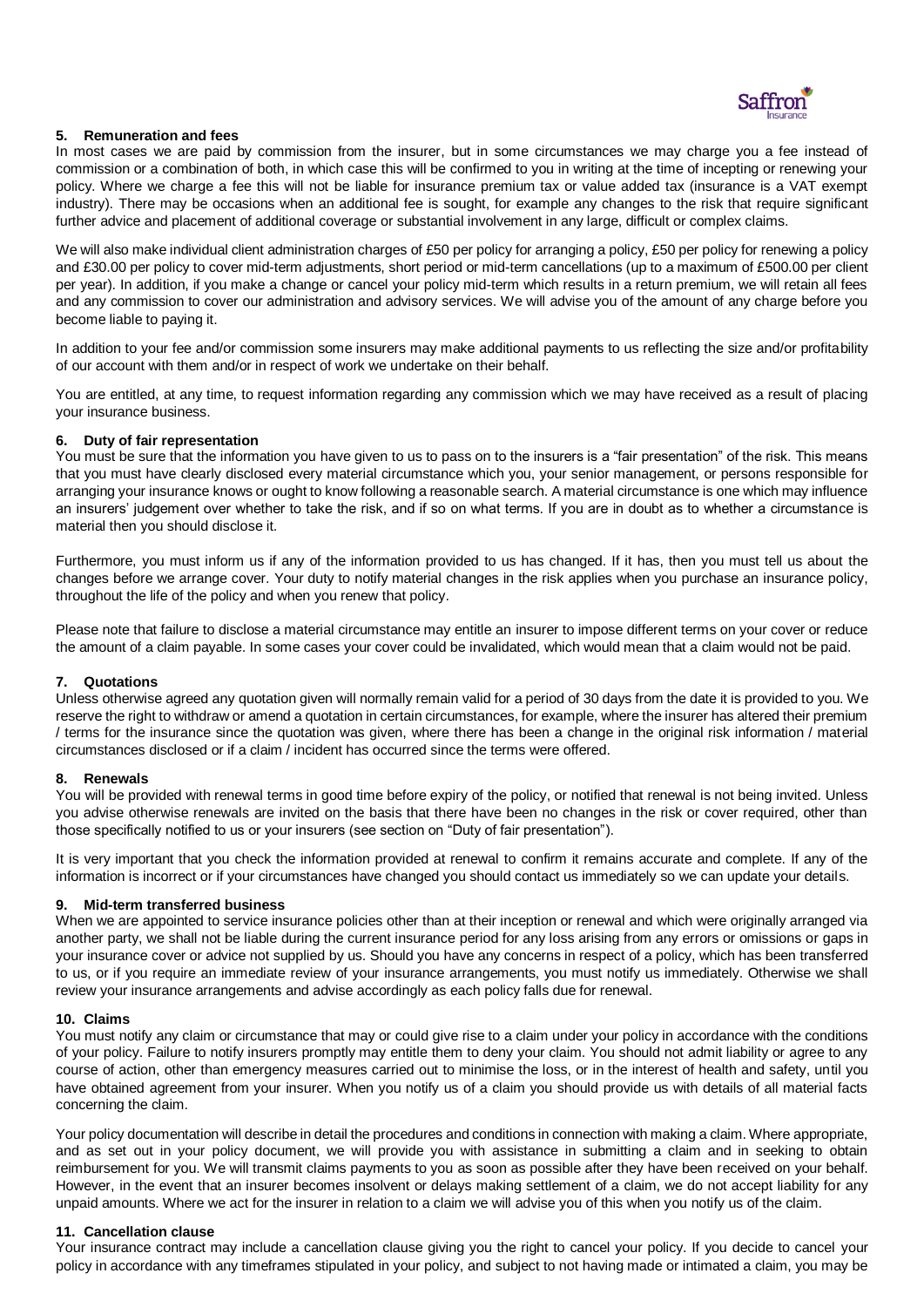

# **5. Remuneration and fees**

In most cases we are paid by commission from the insurer, but in some circumstances we may charge you a fee instead of commission or a combination of both, in which case this will be confirmed to you in writing at the time of incepting or renewing your policy. Where we charge a fee this will not be liable for insurance premium tax or value added tax (insurance is a VAT exempt industry). There may be occasions when an additional fee is sought, for example any changes to the risk that require significant further advice and placement of additional coverage or substantial involvement in any large, difficult or complex claims.

We will also make individual client administration charges of £50 per policy for arranging a policy, £50 per policy for renewing a policy and £30.00 per policy to cover mid-term adjustments, short period or mid-term cancellations (up to a maximum of £500.00 per client per year). In addition, if you make a change or cancel your policy mid-term which results in a return premium, we will retain all fees and any commission to cover our administration and advisory services. We will advise you of the amount of any charge before you become liable to paying it.

In addition to your fee and/or commission some insurers may make additional payments to us reflecting the size and/or profitability of our account with them and/or in respect of work we undertake on their behalf.

You are entitled, at any time, to request information regarding any commission which we may have received as a result of placing your insurance business.

### **6. Duty of fair representation**

You must be sure that the information you have given to us to pass on to the insurers is a "fair presentation" of the risk. This means that you must have clearly disclosed every material circumstance which you, your senior management, or persons responsible for arranging your insurance knows or ought to know following a reasonable search. A material circumstance is one which may influence an insurers' judgement over whether to take the risk, and if so on what terms. If you are in doubt as to whether a circumstance is material then you should disclose it.

Furthermore, you must inform us if any of the information provided to us has changed. If it has, then you must tell us about the changes before we arrange cover. Your duty to notify material changes in the risk applies when you purchase an insurance policy, throughout the life of the policy and when you renew that policy.

Please note that failure to disclose a material circumstance may entitle an insurer to impose different terms on your cover or reduce the amount of a claim payable. In some cases your cover could be invalidated, which would mean that a claim would not be paid.

### **7. Quotations**

Unless otherwise agreed any quotation given will normally remain valid for a period of 30 days from the date it is provided to you. We reserve the right to withdraw or amend a quotation in certain circumstances, for example, where the insurer has altered their premium / terms for the insurance since the quotation was given, where there has been a change in the original risk information / material circumstances disclosed or if a claim / incident has occurred since the terms were offered.

### **8. Renewals**

You will be provided with renewal terms in good time before expiry of the policy, or notified that renewal is not being invited. Unless you advise otherwise renewals are invited on the basis that there have been no changes in the risk or cover required, other than those specifically notified to us or your insurers (see section on "Duty of fair presentation").

It is very important that you check the information provided at renewal to confirm it remains accurate and complete. If any of the information is incorrect or if your circumstances have changed you should contact us immediately so we can update your details.

### **9. Mid-term transferred business**

When we are appointed to service insurance policies other than at their inception or renewal and which were originally arranged via another party, we shall not be liable during the current insurance period for any loss arising from any errors or omissions or gaps in your insurance cover or advice not supplied by us. Should you have any concerns in respect of a policy, which has been transferred to us, or if you require an immediate review of your insurance arrangements, you must notify us immediately. Otherwise we shall review your insurance arrangements and advise accordingly as each policy falls due for renewal.

### **10. Claims**

You must notify any claim or circumstance that may or could give rise to a claim under your policy in accordance with the conditions of your policy. Failure to notify insurers promptly may entitle them to deny your claim. You should not admit liability or agree to any course of action, other than emergency measures carried out to minimise the loss, or in the interest of health and safety, until you have obtained agreement from your insurer. When you notify us of a claim you should provide us with details of all material facts concerning the claim.

Your policy documentation will describe in detail the procedures and conditions in connection with making a claim. Where appropriate, and as set out in your policy document, we will provide you with assistance in submitting a claim and in seeking to obtain reimbursement for you. We will transmit claims payments to you as soon as possible after they have been received on your behalf. However, in the event that an insurer becomes insolvent or delays making settlement of a claim, we do not accept liability for any unpaid amounts. Where we act for the insurer in relation to a claim we will advise you of this when you notify us of the claim.

### **11. Cancellation clause**

Your insurance contract may include a cancellation clause giving you the right to cancel your policy. If you decide to cancel your policy in accordance with any timeframes stipulated in your policy, and subject to not having made or intimated a claim, you may be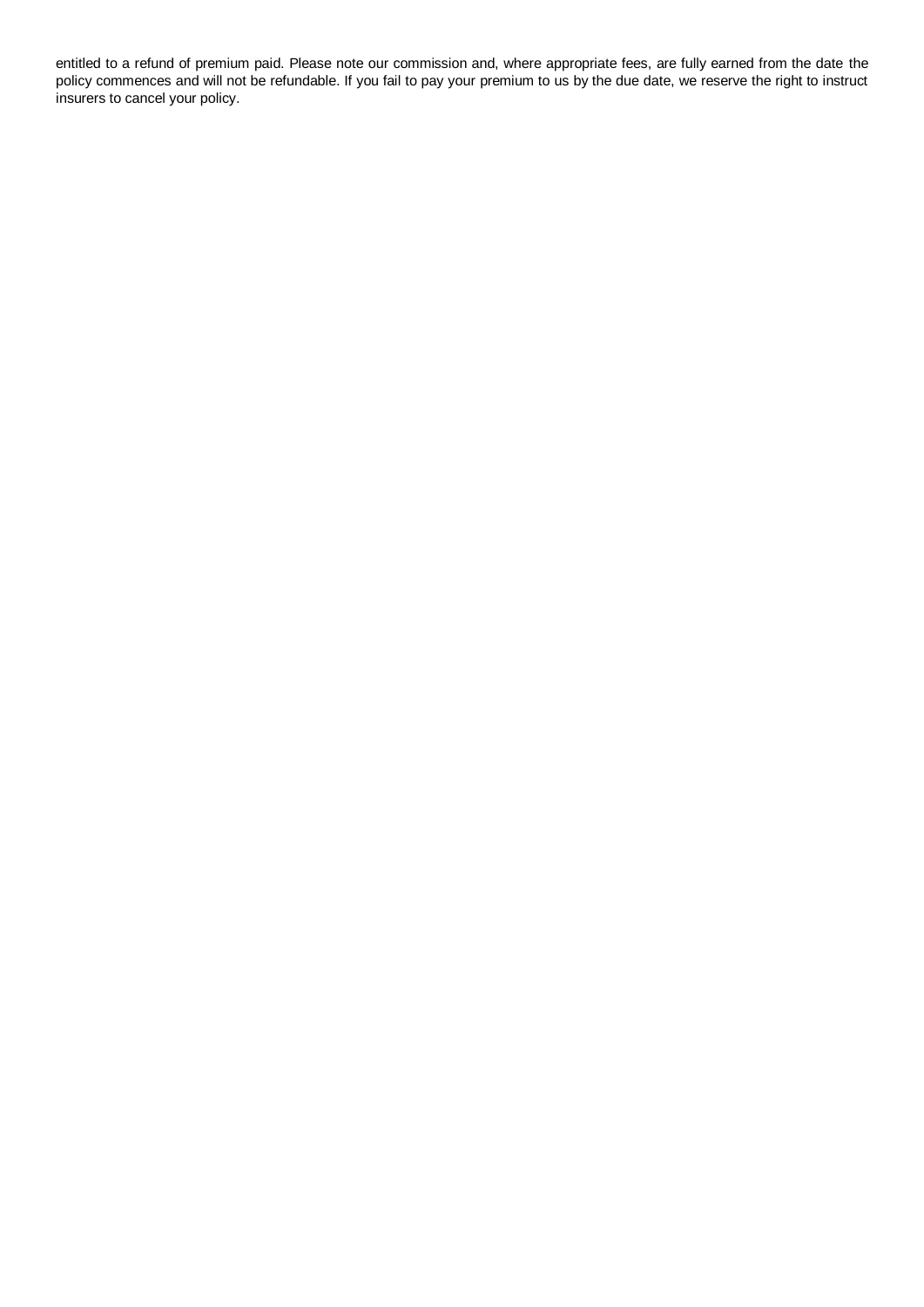entitled to a refund of premium paid. Please note our commission and, where appropriate fees, are fully earned from the date the policy commences and will not be refundable. If you fail to pay your premium to us by the due date, we reserve the right to instruct insurers to cancel your policy.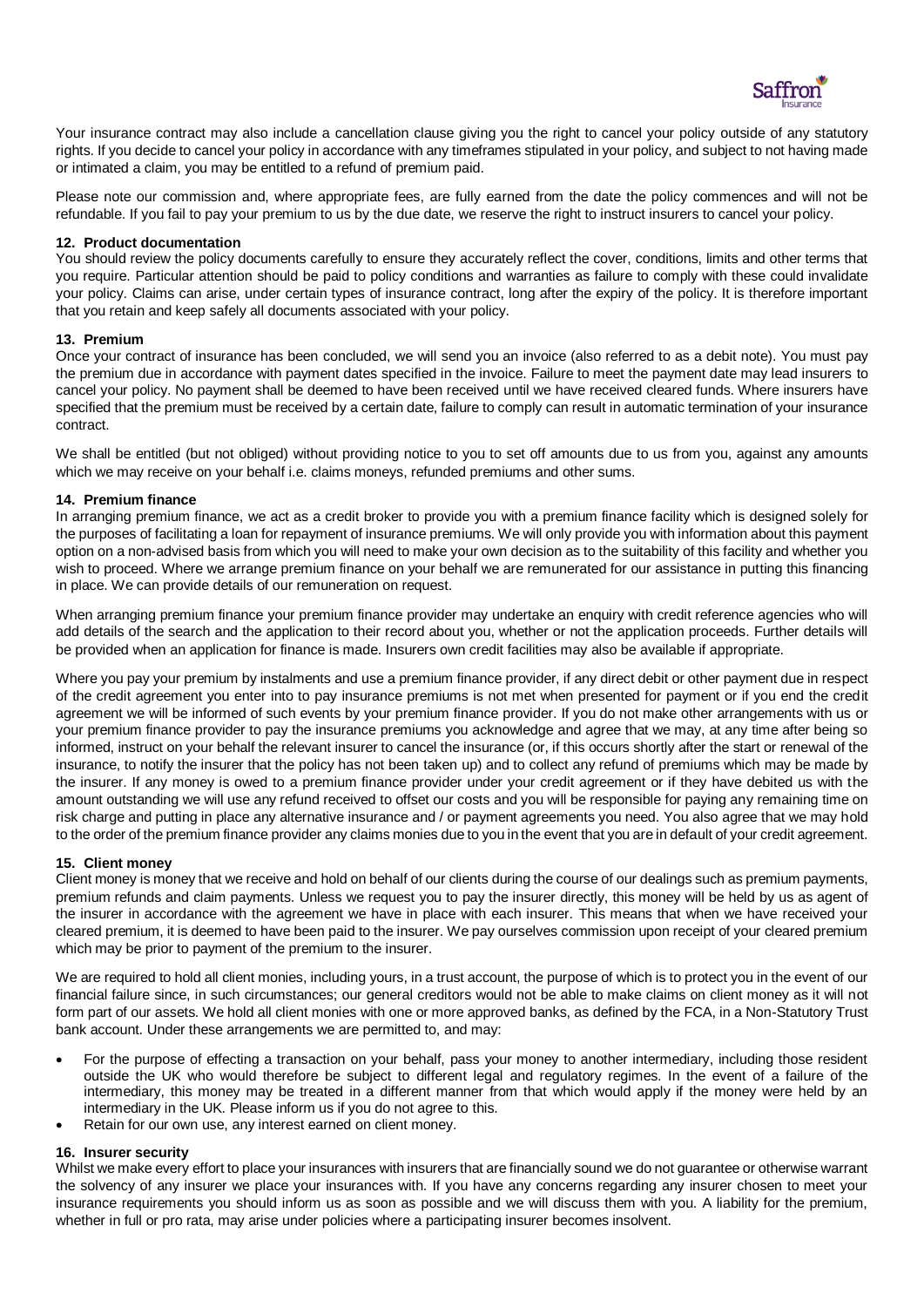

Your insurance contract may also include a cancellation clause giving you the right to cancel your policy outside of any statutory rights. If you decide to cancel your policy in accordance with any timeframes stipulated in your policy, and subject to not having made or intimated a claim, you may be entitled to a refund of premium paid.

Please note our commission and, where appropriate fees, are fully earned from the date the policy commences and will not be refundable. If you fail to pay your premium to us by the due date, we reserve the right to instruct insurers to cancel your policy.

#### **12. Product documentation**

You should review the policy documents carefully to ensure they accurately reflect the cover, conditions, limits and other terms that you require. Particular attention should be paid to policy conditions and warranties as failure to comply with these could invalidate your policy. Claims can arise, under certain types of insurance contract, long after the expiry of the policy. It is therefore important that you retain and keep safely all documents associated with your policy.

#### **13. Premium**

Once your contract of insurance has been concluded, we will send you an invoice (also referred to as a debit note). You must pay the premium due in accordance with payment dates specified in the invoice. Failure to meet the payment date may lead insurers to cancel your policy. No payment shall be deemed to have been received until we have received cleared funds. Where insurers have specified that the premium must be received by a certain date, failure to comply can result in automatic termination of your insurance contract.

We shall be entitled (but not obliged) without providing notice to you to set off amounts due to us from you, against any amounts which we may receive on your behalf i.e. claims moneys, refunded premiums and other sums.

#### **14. Premium finance**

In arranging premium finance, we act as a credit broker to provide you with a premium finance facility which is designed solely for the purposes of facilitating a loan for repayment of insurance premiums. We will only provide you with information about this payment option on a non-advised basis from which you will need to make your own decision as to the suitability of this facility and whether you wish to proceed. Where we arrange premium finance on your behalf we are remunerated for our assistance in putting this financing in place. We can provide details of our remuneration on request.

When arranging premium finance your premium finance provider may undertake an enquiry with credit reference agencies who will add details of the search and the application to their record about you, whether or not the application proceeds. Further details will be provided when an application for finance is made. Insurers own credit facilities may also be available if appropriate.

Where you pay your premium by instalments and use a premium finance provider, if any direct debit or other payment due in respect of the credit agreement you enter into to pay insurance premiums is not met when presented for payment or if you end the credit agreement we will be informed of such events by your premium finance provider. If you do not make other arrangements with us or your premium finance provider to pay the insurance premiums you acknowledge and agree that we may, at any time after being so informed, instruct on your behalf the relevant insurer to cancel the insurance (or, if this occurs shortly after the start or renewal of the insurance, to notify the insurer that the policy has not been taken up) and to collect any refund of premiums which may be made by the insurer. If any money is owed to a premium finance provider under your credit agreement or if they have debited us with the amount outstanding we will use any refund received to offset our costs and you will be responsible for paying any remaining time on risk charge and putting in place any alternative insurance and / or payment agreements you need. You also agree that we may hold to the order of the premium finance provider any claims monies due to you in the event that you are in default of your credit agreement.

### **15. Client money**

Client money is money that we receive and hold on behalf of our clients during the course of our dealings such as premium payments, premium refunds and claim payments. Unless we request you to pay the insurer directly, this money will be held by us as agent of the insurer in accordance with the agreement we have in place with each insurer. This means that when we have received your cleared premium, it is deemed to have been paid to the insurer. We pay ourselves commission upon receipt of your cleared premium which may be prior to payment of the premium to the insurer.

We are required to hold all client monies, including yours, in a trust account, the purpose of which is to protect you in the event of our financial failure since, in such circumstances; our general creditors would not be able to make claims on client money as it will not form part of our assets. We hold all client monies with one or more approved banks, as defined by the FCA, in a Non-Statutory Trust bank account. Under these arrangements we are permitted to, and may:

- For the purpose of effecting a transaction on your behalf, pass your money to another intermediary, including those resident outside the UK who would therefore be subject to different legal and regulatory regimes. In the event of a failure of the intermediary, this money may be treated in a different manner from that which would apply if the money were held by an intermediary in the UK. Please inform us if you do not agree to this.
- Retain for our own use, any interest earned on client money.

### **16. Insurer security**

Whilst we make every effort to place your insurances with insurers that are financially sound we do not guarantee or otherwise warrant the solvency of any insurer we place your insurances with. If you have any concerns regarding any insurer chosen to meet your insurance requirements you should inform us as soon as possible and we will discuss them with you. A liability for the premium, whether in full or pro rata, may arise under policies where a participating insurer becomes insolvent.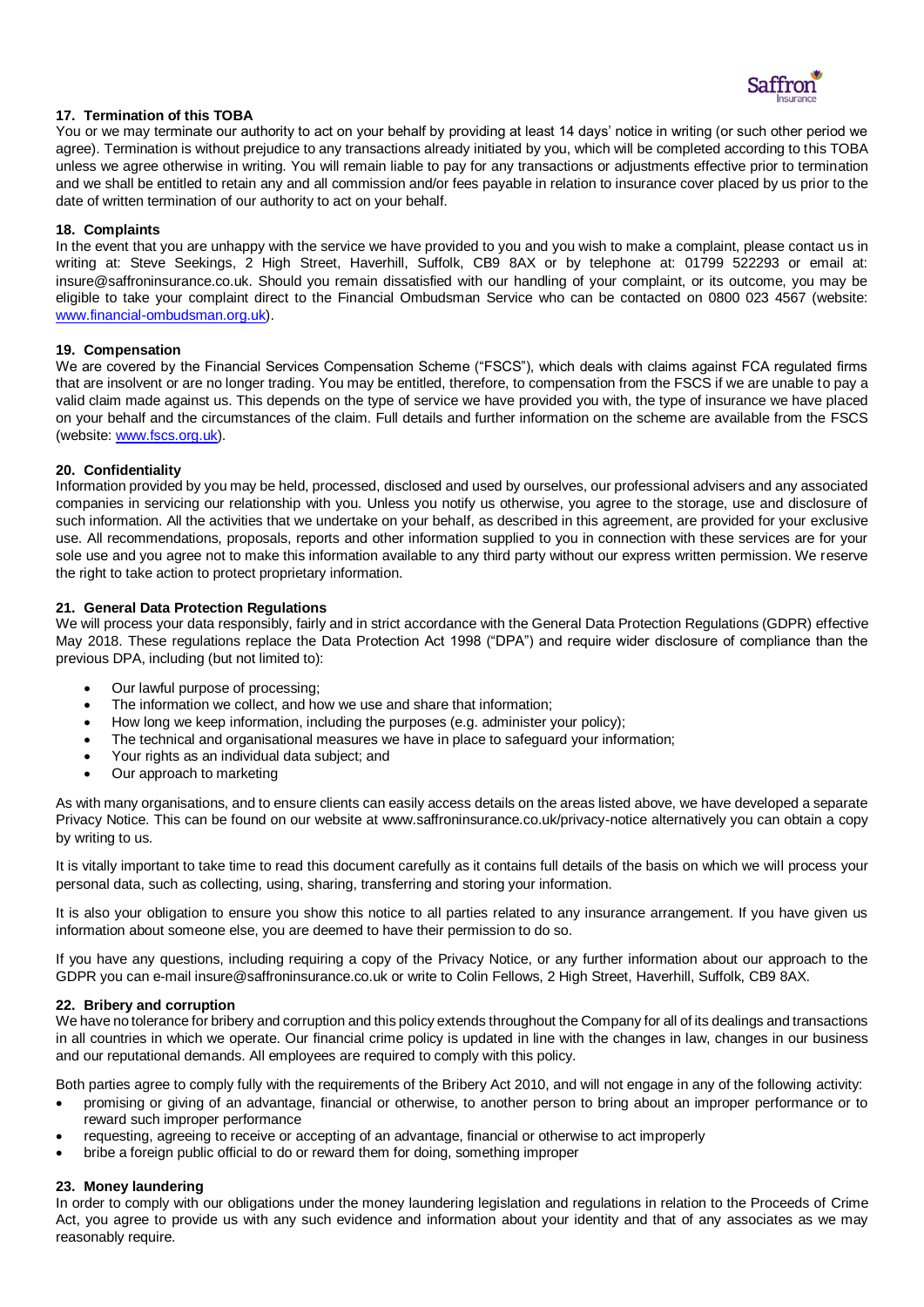

# **17. Termination of this TOBA**

You or we may terminate our authority to act on your behalf by providing at least 14 days' notice in writing (or such other period we agree). Termination is without prejudice to any transactions already initiated by you, which will be completed according to this TOBA unless we agree otherwise in writing. You will remain liable to pay for any transactions or adjustments effective prior to termination and we shall be entitled to retain any and all commission and/or fees payable in relation to insurance cover placed by us prior to the date of written termination of our authority to act on your behalf.

# **18. Complaints**

In the event that you are unhappy with the service we have provided to you and you wish to make a complaint, please contact us in writing at: Steve Seekings, 2 High Street, Haverhill, Suffolk, CB9 8AX or by telephone at: 01799 522293 or email at: insure@saffroninsurance.co.uk. Should you remain dissatisfied with our handling of your complaint, or its outcome, you may be eligible to take your complaint direct to the Financial Ombudsman Service who can be contacted on 0800 023 4567 (website: [www.financial-ombudsman.org.uk\)](http://www.financial-ombudsman.org.uk/).

### **19. Compensation**

We are covered by the Financial Services Compensation Scheme ("FSCS"), which deals with claims against FCA regulated firms that are insolvent or are no longer trading. You may be entitled, therefore, to compensation from the FSCS if we are unable to pay a valid claim made against us. This depends on the type of service we have provided you with, the type of insurance we have placed on your behalf and the circumstances of the claim. Full details and further information on the scheme are available from the FSCS (website[: www.fscs.org.uk\)](http://www.fscs.org.uk/).

# **20. Confidentiality**

Information provided by you may be held, processed, disclosed and used by ourselves, our professional advisers and any associated companies in servicing our relationship with you. Unless you notify us otherwise, you agree to the storage, use and disclosure of such information. All the activities that we undertake on your behalf, as described in this agreement, are provided for your exclusive use. All recommendations, proposals, reports and other information supplied to you in connection with these services are for your sole use and you agree not to make this information available to any third party without our express written permission. We reserve the right to take action to protect proprietary information.

# **21. General Data Protection Regulations**

We will process your data responsibly, fairly and in strict accordance with the General Data Protection Regulations (GDPR) effective May 2018. These regulations replace the Data Protection Act 1998 ("DPA") and require wider disclosure of compliance than the previous DPA, including (but not limited to):

- Our lawful purpose of processing;
- The information we collect, and how we use and share that information;
- How long we keep information, including the purposes (e.g. administer your policy);
- The technical and organisational measures we have in place to safeguard your information;
- Your rights as an individual data subject; and
- Our approach to marketing

As with many organisations, and to ensure clients can easily access details on the areas listed above, we have developed a separate Privacy Notice. This can be found on our website at www.saffroninsurance.co.uk/privacy-notice alternatively you can obtain a copy by writing to us.

It is vitally important to take time to read this document carefully as it contains full details of the basis on which we will process your personal data, such as collecting, using, sharing, transferring and storing your information.

It is also your obligation to ensure you show this notice to all parties related to any insurance arrangement. If you have given us information about someone else, you are deemed to have their permission to do so.

If you have any questions, including requiring a copy of the Privacy Notice, or any further information about our approach to the GDPR you can e-mail insure@saffroninsurance.co.uk or write to Colin Fellows, 2 High Street, Haverhill, Suffolk, CB9 8AX.

### **22. Bribery and corruption**

We have no tolerance for bribery and corruption and this policy extends throughout the Company for all of its dealings and transactions in all countries in which we operate. Our financial crime policy is updated in line with the changes in law, changes in our business and our reputational demands. All employees are required to comply with this policy.

Both parties agree to comply fully with the requirements of the Bribery Act 2010, and will not engage in any of the following activity:

- promising or giving of an advantage, financial or otherwise, to another person to bring about an improper performance or to reward such improper performance
- requesting, agreeing to receive or accepting of an advantage, financial or otherwise to act improperly
- bribe a foreign public official to do or reward them for doing, something improper

### **23. Money laundering**

In order to comply with our obligations under the money laundering legislation and regulations in relation to the Proceeds of Crime Act, you agree to provide us with any such evidence and information about your identity and that of any associates as we may reasonably require.